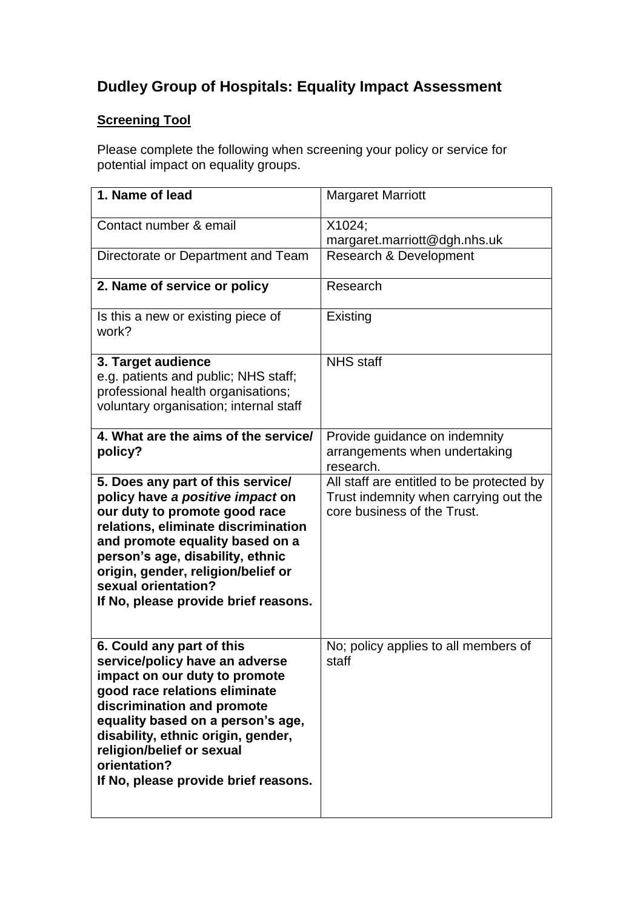# **Dudley Group of Hospitals: Equality Impact Assessment**

# **Screening Tool**

Please complete the following when screening your policy or service for potential impact on equality groups.

| 1. Name of lead                                                                                                                                                                                                                                                                                                             | <b>Margaret Marriott</b>                                                                                          |
|-----------------------------------------------------------------------------------------------------------------------------------------------------------------------------------------------------------------------------------------------------------------------------------------------------------------------------|-------------------------------------------------------------------------------------------------------------------|
| Contact number & email                                                                                                                                                                                                                                                                                                      | X1024;<br>margaret.marriott@dgh.nhs.uk                                                                            |
| Directorate or Department and Team                                                                                                                                                                                                                                                                                          | Research & Development                                                                                            |
| 2. Name of service or policy                                                                                                                                                                                                                                                                                                | Research                                                                                                          |
| Is this a new or existing piece of<br>work?                                                                                                                                                                                                                                                                                 | Existing                                                                                                          |
| 3. Target audience<br>e.g. patients and public; NHS staff;<br>professional health organisations;<br>voluntary organisation; internal staff                                                                                                                                                                                  | <b>NHS</b> staff                                                                                                  |
| 4. What are the aims of the service/<br>policy?                                                                                                                                                                                                                                                                             | Provide guidance on indemnity<br>arrangements when undertaking<br>research.                                       |
| 5. Does any part of this service/<br>policy have a positive impact on<br>our duty to promote good race<br>relations, eliminate discrimination<br>and promote equality based on a<br>person's age, disability, ethnic<br>origin, gender, religion/belief or<br>sexual orientation?<br>If No, please provide brief reasons.   | All staff are entitled to be protected by<br>Trust indemnity when carrying out the<br>core business of the Trust. |
| 6. Could any part of this<br>service/policy have an adverse<br>impact on our duty to promote<br>good race relations eliminate<br>discrimination and promote<br>equality based on a person's age,<br>disability, ethnic origin, gender,<br>religion/belief or sexual<br>orientation?<br>If No, please provide brief reasons. | No; policy applies to all members of<br>staff                                                                     |